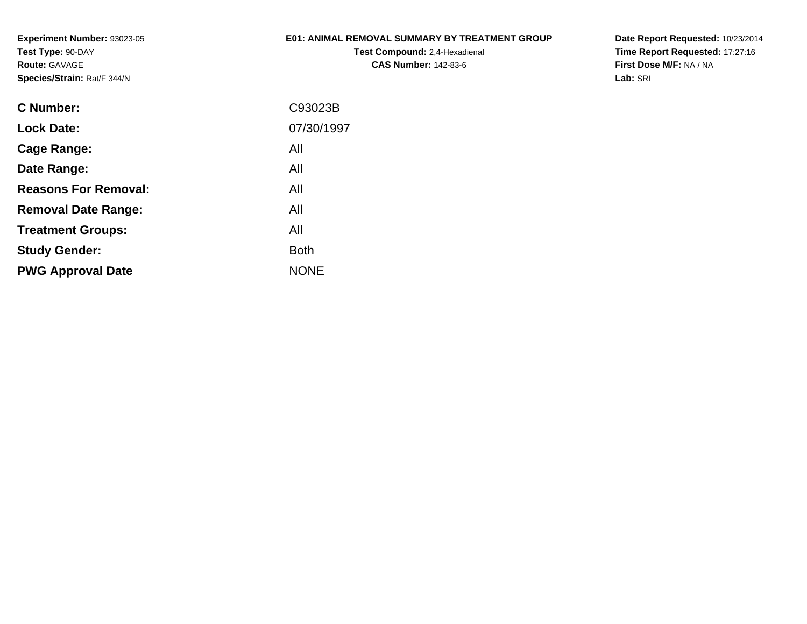### **E01: ANIMAL REMOVAL SUMMARY BY TREATMENT GROUP**

**Test Compound:** 2,4-Hexadienal **CAS Number:** 142-83-6

| C Number:                   | C93023B     |
|-----------------------------|-------------|
| <b>Lock Date:</b>           | 07/30/1997  |
| Cage Range:                 | All         |
| Date Range:                 | All         |
| <b>Reasons For Removal:</b> | All         |
| <b>Removal Date Range:</b>  | All         |
| <b>Treatment Groups:</b>    | All         |
| <b>Study Gender:</b>        | <b>Both</b> |
| <b>PWG Approval Date</b>    | <b>NONE</b> |
|                             |             |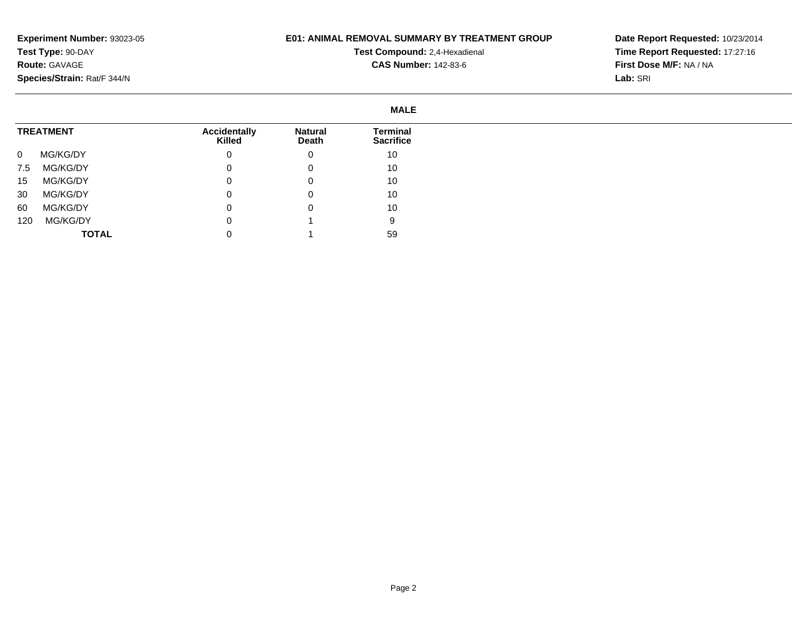### **E01: ANIMAL REMOVAL SUMMARY BY TREATMENT GROUP**

**Test Compound:** 2,4-Hexadienal **CAS Number:** 142-83-6

|                  |              |                                      |                         | <b>MALE</b>                  |
|------------------|--------------|--------------------------------------|-------------------------|------------------------------|
| <b>TREATMENT</b> |              | <b>Accidentally</b><br><b>Killed</b> | <b>Natural</b><br>Death | Terminal<br><b>Sacrifice</b> |
| $\mathbf 0$      | MG/KG/DY     | 0                                    | 0                       | 10                           |
| 7.5              | MG/KG/DY     | 0                                    | 0                       | 10                           |
| 15               | MG/KG/DY     |                                      | 0                       | 10                           |
| 30               | MG/KG/DY     |                                      | 0                       | 10                           |
| 60               | MG/KG/DY     | 0                                    | 0                       | 10                           |
| 120              | MG/KG/DY     |                                      |                         | 9                            |
|                  | <b>TOTAL</b> |                                      |                         | 59                           |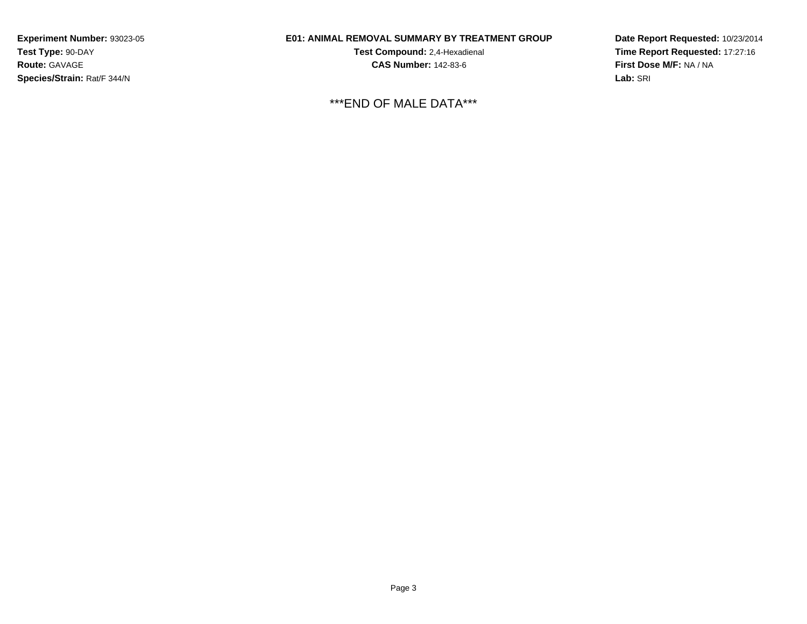### **E01: ANIMAL REMOVAL SUMMARY BY TREATMENT GROUP**

**Test Compound:** 2,4-Hexadienal **CAS Number:** 142-83-6

\*\*\*END OF MALE DATA\*\*\*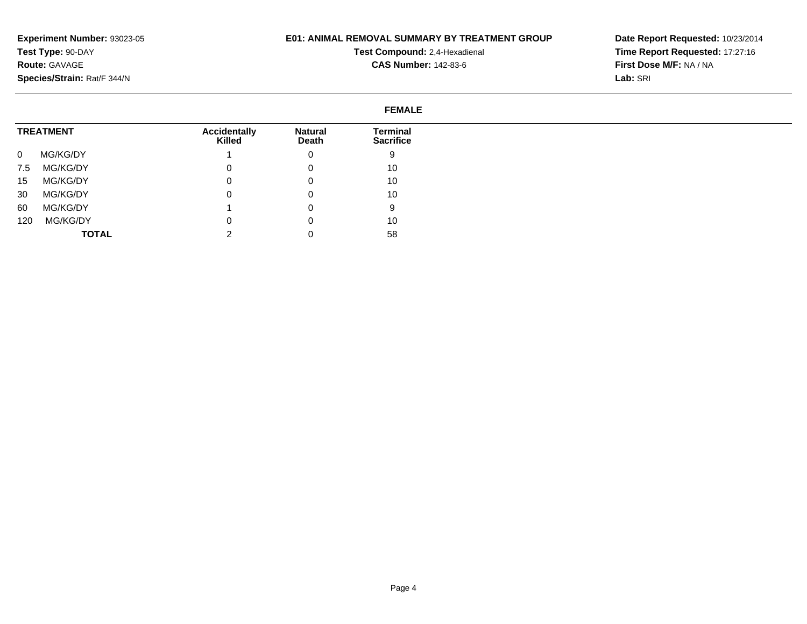### **E01: ANIMAL REMOVAL SUMMARY BY TREATMENT GROUP**

**Test Compound:** 2,4-Hexadienal **CAS Number:** 142-83-6

|              |                  |                               |                         | <b>FEMALE</b>                |
|--------------|------------------|-------------------------------|-------------------------|------------------------------|
|              | <b>TREATMENT</b> | <b>Accidentally</b><br>Killed | <b>Natural</b><br>Death | Terminal<br><b>Sacrifice</b> |
| $\mathbf{0}$ | MG/KG/DY         |                               | 0                       | 9                            |
| 7.5          | MG/KG/DY         | 0                             | 0                       | 10                           |
| 15           | MG/KG/DY         | 0                             | 0                       | 10                           |
| 30           | MG/KG/DY         | $\Omega$                      | 0                       | 10                           |
| 60           | MG/KG/DY         |                               | 0                       | 9                            |
| 120          | MG/KG/DY         | 0                             | 0                       | 10                           |
|              | <b>TOTAL</b>     | ົ                             |                         | 58                           |